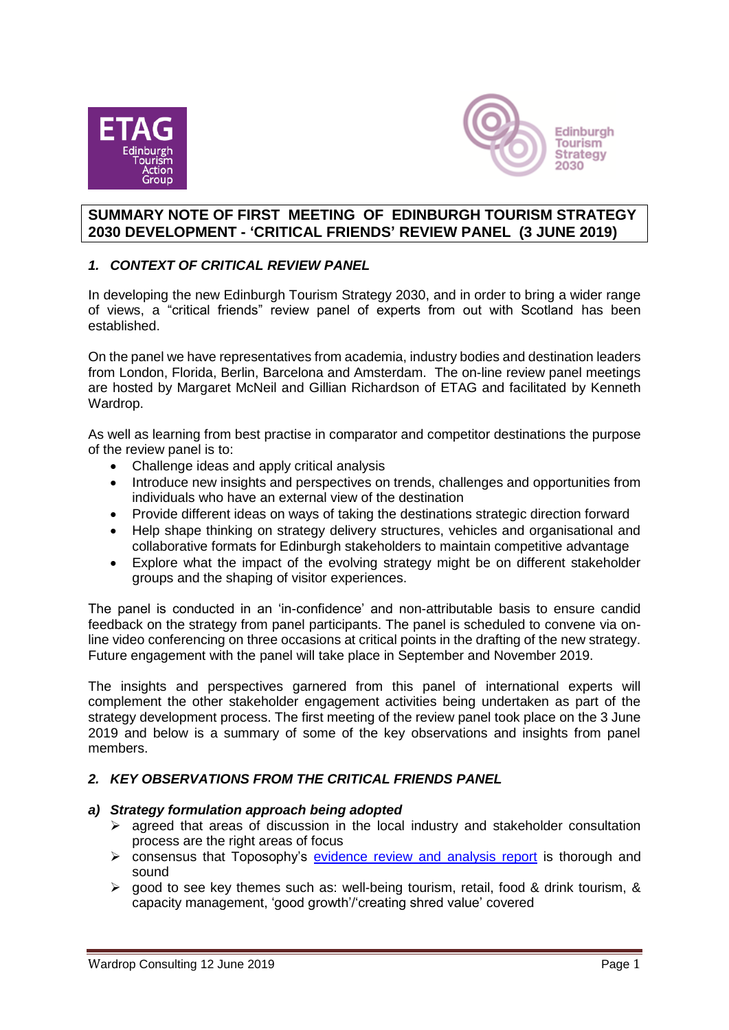



## **SUMMARY NOTE OF FIRST MEETING OF EDINBURGH TOURISM STRATEGY 2030 DEVELOPMENT - 'CRITICAL FRIENDS' REVIEW PANEL (3 JUNE 2019)**

# *1. CONTEXT OF CRITICAL REVIEW PANEL*

In developing the new Edinburgh Tourism Strategy 2030, and in order to bring a wider range of views, a "critical friends" review panel of experts from out with Scotland has been established.

On the panel we have representatives from academia, industry bodies and destination leaders from London, Florida, Berlin, Barcelona and Amsterdam. The on-line review panel meetings are hosted by Margaret McNeil and Gillian Richardson of ETAG and facilitated by Kenneth Wardrop.

As well as learning from best practise in comparator and competitor destinations the purpose of the review panel is to:

- Challenge ideas and apply critical analysis
- Introduce new insights and perspectives on trends, challenges and opportunities from individuals who have an external view of the destination
- Provide different ideas on ways of taking the destinations strategic direction forward
- Help shape thinking on strategy delivery structures, vehicles and organisational and collaborative formats for Edinburgh stakeholders to maintain competitive advantage
- Explore what the impact of the evolving strategy might be on different stakeholder groups and the shaping of visitor experiences.

The panel is conducted in an 'in-confidence' and non-attributable basis to ensure candid feedback on the strategy from panel participants. The panel is scheduled to convene via online video conferencing on three occasions at critical points in the drafting of the new strategy. Future engagement with the panel will take place in September and November 2019.

The insights and perspectives garnered from this panel of international experts will complement the other stakeholder engagement activities being undertaken as part of the strategy development process. The first meeting of the review panel took place on the 3 June 2019 and below is a summary of some of the key observations and insights from panel members.

### *2. KEY OBSERVATIONS FROM THE CRITICAL FRIENDS PANEL*

### *a) Strategy formulation approach being adopted*

- $\triangleright$  agreed that areas of discussion in the local industry and stakeholder consultation process are the right areas of focus
- ➢ consensus that Toposophy's [evidence review and analysis report](https://www.etag.org.uk/wp-content/uploads/2014/01/Edinburgh-Tourism-Strategy-2030-Phase-1-Setting-the-Scene.pdf) is thorough and sound
- $\triangleright$  good to see key themes such as: well-being tourism, retail, food & drink tourism, & capacity management, 'good growth'/'creating shred value' covered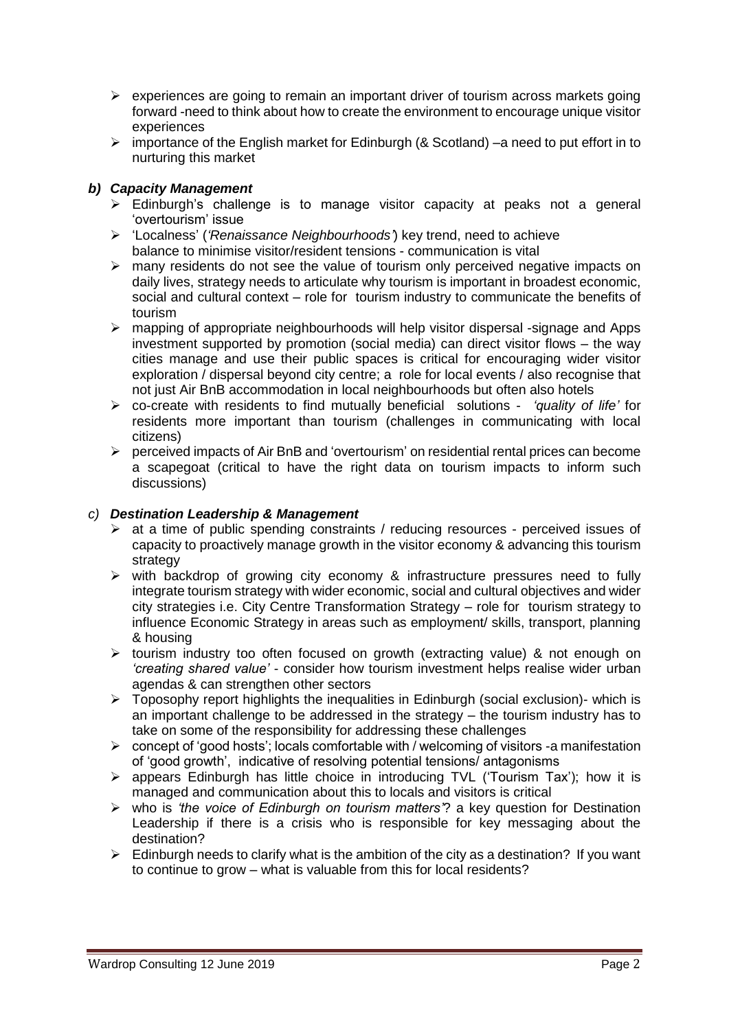- $\triangleright$  experiences are going to remain an important driver of tourism across markets going forward -need to think about how to create the environment to encourage unique visitor experiences
- ➢ importance of the English market for Edinburgh (& Scotland) –a need to put effort in to nurturing this market

# *b) Capacity Management*

- ➢ Edinburgh's challenge is to manage visitor capacity at peaks not a general 'overtourism' issue
- ➢ 'Localness' (*'Renaissance Neighbourhoods'*) key trend, need to achieve balance to minimise visitor/resident tensions - communication is vital
- $\triangleright$  many residents do not see the value of tourism only perceived negative impacts on daily lives, strategy needs to articulate why tourism is important in broadest economic, social and cultural context – role for tourism industry to communicate the benefits of tourism
- $\triangleright$  mapping of appropriate neighbourhoods will help visitor dispersal -signage and Apps investment supported by promotion (social media) can direct visitor flows – the way cities manage and use their public spaces is critical for encouraging wider visitor exploration / dispersal beyond city centre; a role for local events / also recognise that not just Air BnB accommodation in local neighbourhoods but often also hotels
- ➢ co-create with residents to find mutually beneficial solutions *'quality of life'* for residents more important than tourism (challenges in communicating with local citizens)
- $\triangleright$  perceived impacts of Air BnB and 'overtourism' on residential rental prices can become a scapegoat (critical to have the right data on tourism impacts to inform such discussions)

## *c) Destination Leadership & Management*

- ➢ at a time of public spending constraints / reducing resources perceived issues of capacity to proactively manage growth in the visitor economy & advancing this tourism strategy
- ➢ with backdrop of growing city economy & infrastructure pressures need to fully integrate tourism strategy with wider economic, social and cultural objectives and wider city strategies i.e. City Centre Transformation Strategy – role for tourism strategy to influence Economic Strategy in areas such as employment/ skills, transport, planning & housing
- ➢ tourism industry too often focused on growth (extracting value) & not enough on *'creating shared value'* - consider how tourism investment helps realise wider urban agendas & can strengthen other sectors
- $\triangleright$  Toposophy report highlights the inequalities in Edinburgh (social exclusion)- which is an important challenge to be addressed in the strategy – the tourism industry has to take on some of the responsibility for addressing these challenges
- ➢ concept of 'good hosts'; locals comfortable with / welcoming of visitors -a manifestation of 'good growth', indicative of resolving potential tensions/ antagonisms
- ➢ appears Edinburgh has little choice in introducing TVL ('Tourism Tax'); how it is managed and communication about this to locals and visitors is critical
- ➢ who is *'the voice of Edinburgh on tourism matters'*? a key question for Destination Leadership if there is a crisis who is responsible for key messaging about the destination?
- $\triangleright$  Edinburgh needs to clarify what is the ambition of the city as a destination? If you want to continue to grow – what is valuable from this for local residents?